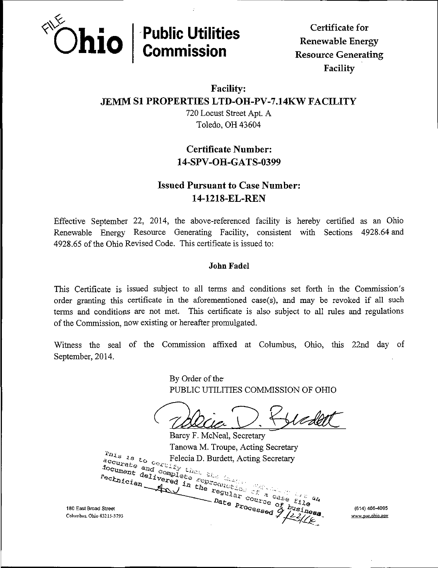

Facility

### Facility: JEMM SI PROPERTIES LTD-OH-PV-7.14KW FACILITY

720 Locust Street Apt. A Toledo, OH 43604

## Certificate Number: 14.SPV-OH-GATS-0399

# Issued Pursuant to Case Number: 14-1218-EL-REN

Effective September 22, 2014, the above-referenced facility is hereby certified as an Ohio Renewable Energy Resource Generating Facility, consistent with Sections 4928.64 and 4928.65 of the Ohio Revised Code. This certificate is issued to:

#### John Fadel

This Certificate is issued subject to all terms and conditions set forth in the Commission's order granting this certificate in the aforementioned case(s), and may be revoked if all such terms and conditions are not met. This certificate is also subject to all rules and regulations of the Commission, now existing or hereafter promulgated.

Witness the seal of the Commission affixed at Columbus, Ohio, this 22nd day of September, 2014.

> By Order of the PUBLIC UTILITIES COMMISSION OF OHIO

Barcy F. McNeal, Secretary Tanowa M. Troupe, Acting Secretary<br>Felecia D. Burdett, Acting Secretary<br> $\sum_{c \in \mathcal{L} \subseteq \mathcal{L}_{\mathcal{L}}}$  Felecia D. Burdett, Acting Secretary  $\frac{142 s}{82}$   $\frac{1}{8}$  to complete Felecia D. Burdett, Acting Secretary  $\frac{\text{Sul}_{\text{az}}}{\text{cou}_{\text{zx}}}\text{c}_{\text{as}}$ 180 East Broad Street (614) 466-4095<br>Columbus. Ohio 43215-3793 (614) 288 Columbus. Ohio 43215-3793 r -Jina -Jina -Jina -Jina -Jina -Jina -Jina -Jina -Jina -Jina -Jina -Jina -Jina -Jina -Jina -Jina -Jina -Jina -Jina -Jina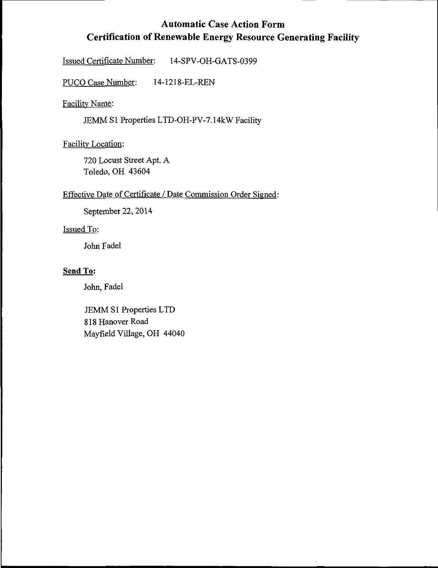# Automatic Case Action Form Certification of Renewable Energy Resource Generating Facility

Issued Certificate Number: 14-SPV-OH-GATS-0399

PUCO Case Number: 14-1218-EL-REN

Facilitv Name:

JEMM SI Properties LTD-OH-PV-7.14kW Facility

Facilitv Location:

720 Locust Street Apt. A Toledo, OH 43604

#### Effective Date of Certificate / Date Commission Order Signed:

September 22,2014

#### Issued To:

John Fadel

### Send To:

John, Fadel

JEMM SI Properties LTD 818 Hanover Road Mayfield Village, OH 44040